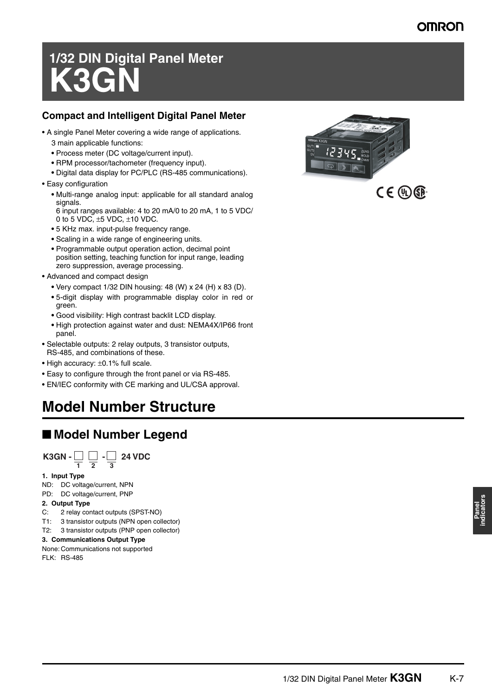# **OMRO**

# **1/32 DIN Digital Panel Meter K3G**

### **Compact and Intelligent Digital Panel Meter**

- A single Panel Meter covering a wide range of applications.
	- 3 main applicable functions:
	- **•** Process meter (DC voltage/current input).
	- **•** RPM processor/tachometer (frequency input).
	- **•** Digital data display for PC/PLC (RS-485 communications).
- Easy configuration
	- **•** Multi-range analog input: applicable for all standard analog signals.
	- 6 input ranges available: 4 to 20 mA/0 to 20 mA, 1 to 5 VDC/ 0 to 5 VDC,  $\pm$ 5 VDC,  $\pm$ 10 VDC.
	- **•** 5 KHz max. input-pulse frequency range.
	- **•** Scaling in a wide range of engineering units.
	- **•** Programmable output operation action, decimal point position setting, teaching function for input range, leading zero suppression, average processing.
- Advanced and compact design
	- **•** Very compact 1/32 DIN housing: 48 (W) x 24 (H) x 83 (D).
	- **•** 5-digit display with programmable display color in red or green.
	- **•** Good visibility: High contrast backlit LCD display.
	- **•** High protection against water and dust: NEMA4X/IP66 front panel.
- Selectable outputs: 2 relay outputs, 3 transistor outputs, RS-485, and combinations of these.
- High accuracy: ±0.1% full scale.
- Easy to configure through the front panel or via RS-485.
- EN/IEC conformity with CE marking and UL/CSA approval.

# **Model Number Structure**

# ■ Model Number Legend

**24 VDC 12 3 K3GN -**  $\Box$  $\Box$  **-**

#### **1. Input Type**

ND: DC voltage/current, NPN PD: DC voltage/current, PNP

### **2. Output Type**

- C: 2 relay contact outputs (SPST-NO)
- T1: 3 transistor outputs (NPN open collector)
- T2: 3 transistor outputs (PNP open collector)

#### **3. Communications Output Type**

None: Communications not supported FLK: RS-485



 $CE$  (D)  $SP$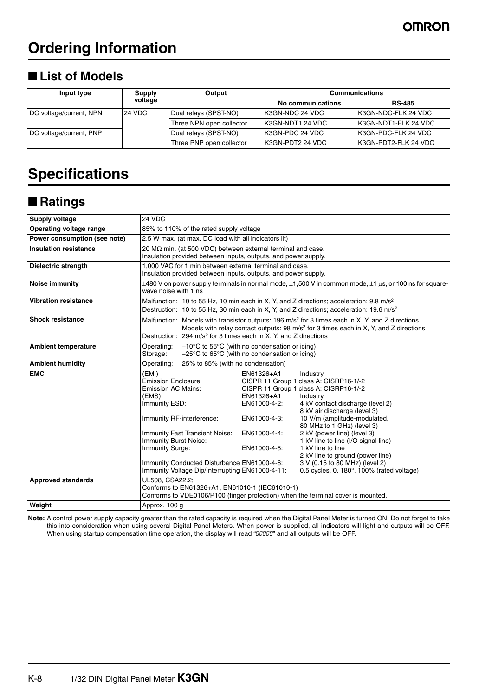# **Ordering Information**

# ■ List of Models

| Input type              | <b>Supply</b><br>voltage | Output                   | <b>Communications</b> |                       |
|-------------------------|--------------------------|--------------------------|-----------------------|-----------------------|
|                         |                          |                          | No communications     | <b>RS-485</b>         |
| DC voltage/current, NPN | 24 VDC                   | Dual relays (SPST-NO)    | IK3GN-NDC 24 VDC      | IK3GN-NDC-FLK 24 VDC  |
|                         |                          | Three NPN open collector | IK3GN-NDT1 24 VDC     | IK3GN-NDT1-FLK 24 VDC |
| DC voltage/current, PNP |                          | Dual relays (SPST-NO)    | IK3GN-PDC 24 VDC      | IK3GN-PDC-FLK 24 VDC  |
|                         |                          | Three PNP open collector | IK3GN-PDT2 24 VDC     | IK3GN-PDT2-FLK 24 VDC |

# **Specifications**

# ■ **Ratings**

| <b>Supply voltage</b>        | 24 VDC                                                                                                                                                                                                                                                      |                                                                                          |                                                                                                                                                                                                                                                                                                                                                                                                                                                                     |
|------------------------------|-------------------------------------------------------------------------------------------------------------------------------------------------------------------------------------------------------------------------------------------------------------|------------------------------------------------------------------------------------------|---------------------------------------------------------------------------------------------------------------------------------------------------------------------------------------------------------------------------------------------------------------------------------------------------------------------------------------------------------------------------------------------------------------------------------------------------------------------|
| Operating voltage range      | 85% to 110% of the rated supply voltage                                                                                                                                                                                                                     |                                                                                          |                                                                                                                                                                                                                                                                                                                                                                                                                                                                     |
| Power consumption (see note) | 2.5 W max. (at max. DC load with all indicators lit)                                                                                                                                                                                                        |                                                                                          |                                                                                                                                                                                                                                                                                                                                                                                                                                                                     |
| <b>Insulation resistance</b> | 20 $M\Omega$ min. (at 500 VDC) between external terminal and case.<br>Insulation provided between inputs, outputs, and power supply.                                                                                                                        |                                                                                          |                                                                                                                                                                                                                                                                                                                                                                                                                                                                     |
| Dielectric strength          | 1,000 VAC for 1 min between external terminal and case.<br>Insulation provided between inputs, outputs, and power supply.                                                                                                                                   |                                                                                          |                                                                                                                                                                                                                                                                                                                                                                                                                                                                     |
| Noise immunity               | wave noise with 1 ns                                                                                                                                                                                                                                        |                                                                                          | $\pm$ 480 V on power supply terminals in normal mode, $\pm$ 1,500 V in common mode, $\pm$ 1 µs, or 100 ns for square-                                                                                                                                                                                                                                                                                                                                               |
| <b>Vibration resistance</b>  |                                                                                                                                                                                                                                                             |                                                                                          | Malfunction: 10 to 55 Hz, 10 min each in X, Y, and Z directions; acceleration: 9.8 m/s <sup>2</sup><br>Destruction: 10 to 55 Hz, 30 min each in X, Y, and Z directions; acceleration: 19.6 m/s <sup>2</sup>                                                                                                                                                                                                                                                         |
| <b>Shock resistance</b>      | Destruction: $294 \text{ m/s}^2$ for 3 times each in X, Y, and Z directions                                                                                                                                                                                 |                                                                                          | Malfunction: Models with transistor outputs: 196 m/s <sup>2</sup> for 3 times each in X, Y, and Z directions<br>Models with relay contact outputs: 98 m/s <sup>2</sup> for 3 times each in X, Y, and Z directions                                                                                                                                                                                                                                                   |
| <b>Ambient temperature</b>   | $-10^{\circ}$ C to 55 $^{\circ}$ C (with no condensation or icing)<br>Operating:<br>$-25^{\circ}$ C to 65 $^{\circ}$ C (with no condensation or icing)<br>Storage:                                                                                          |                                                                                          |                                                                                                                                                                                                                                                                                                                                                                                                                                                                     |
| <b>Ambient humidity</b>      | Operating:<br>25% to 85% (with no condensation)                                                                                                                                                                                                             |                                                                                          |                                                                                                                                                                                                                                                                                                                                                                                                                                                                     |
| <b>EMC</b>                   | (EMI)<br><b>Emission Enclosure:</b><br><b>Emission AC Mains:</b><br>(EMS)<br>Immunity ESD:<br>Immunity RF-interference:<br><b>Immunity Fast Transient Noise:</b><br>Immunity Burst Noise:<br>Immunity Surge:<br>Immunity Conducted Disturbance EN61000-4-6: | EN61326+A1<br>EN61326+A1<br>EN61000-4-2:<br>EN61000-4-3:<br>EN61000-4-4:<br>EN61000-4-5: | Industry<br>CISPR 11 Group 1 class A: CISRP16-1/-2<br>CISPR 11 Group 1 class A: CISRP16-1/-2<br>Industry<br>4 kV contact discharge (level 2)<br>8 kV air discharge (level 3)<br>10 V/m (amplitude-modulated,<br>80 MHz to 1 GHz) (level 3)<br>2 kV (power line) (level 3)<br>1 kV line to line (I/O signal line)<br>1 kV line to line<br>2 kV line to ground (power line)<br>3 V (0.15 to 80 MHz) (level 2)<br>0.5 cycles, 0, $180^\circ$ , $100\%$ (rated voltage) |
| <b>Approved standards</b>    | Immunity Voltage Dip/Interrupting EN61000-4-11:<br>UL508, CSA22.2;                                                                                                                                                                                          |                                                                                          |                                                                                                                                                                                                                                                                                                                                                                                                                                                                     |
|                              | Conforms to EN61326+A1, EN61010-1 (IEC61010-1)<br>Conforms to VDE0106/P100 (finger protection) when the terminal cover is mounted.                                                                                                                          |                                                                                          |                                                                                                                                                                                                                                                                                                                                                                                                                                                                     |
| Weight                       | Approx. 100 g                                                                                                                                                                                                                                               |                                                                                          |                                                                                                                                                                                                                                                                                                                                                                                                                                                                     |

**Note:** A control power supply capacity greater than the rated capacity is required when the Digital Panel Meter is turned ON. Do not forget to take this into consideration when using several Digital Panel Meters. When power is supplied, all indicators will light and outputs will be OFF.<br>When using startup compensation time operation, the display will read "00000" and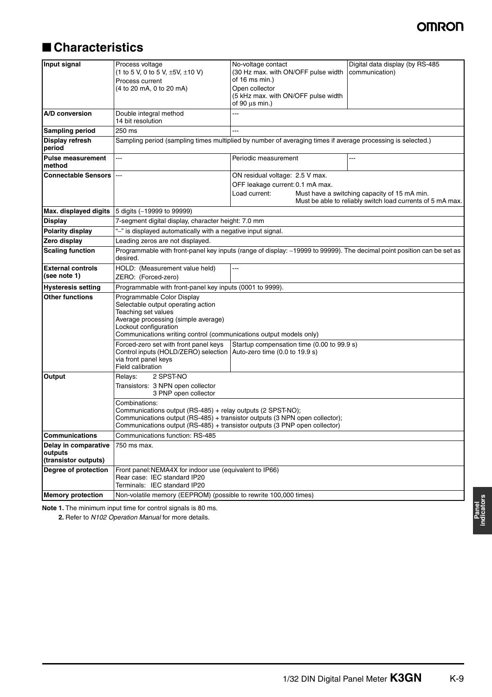# ■ **Characteristics**

| Input signal                                            | Process voltage<br>(1 to 5 V, 0 to 5 V, $\pm$ 5V, $\pm$ 10 V)<br>Process current<br>(4 to 20 mA, 0 to 20 mA)                                                                                                                                                                                                                                  | No-voltage contact<br>(30 Hz max. with ON/OFF pulse width<br>of 16 ms min.)<br>Open collector<br>(5 kHz max. with ON/OFF pulse width<br>of 90 $\mu$ s min.) |  | Digital data display (by RS-485<br>communication)                                                          |
|---------------------------------------------------------|-----------------------------------------------------------------------------------------------------------------------------------------------------------------------------------------------------------------------------------------------------------------------------------------------------------------------------------------------|-------------------------------------------------------------------------------------------------------------------------------------------------------------|--|------------------------------------------------------------------------------------------------------------|
| A/D conversion                                          | Double integral method<br>14 bit resolution                                                                                                                                                                                                                                                                                                   |                                                                                                                                                             |  |                                                                                                            |
| <b>Sampling period</b>                                  | 250 ms                                                                                                                                                                                                                                                                                                                                        | ---                                                                                                                                                         |  |                                                                                                            |
| Display refresh<br>period                               | Sampling period (sampling times multiplied by number of averaging times if average processing is selected.)                                                                                                                                                                                                                                   |                                                                                                                                                             |  |                                                                                                            |
| <b>Pulse measurement</b><br>method                      | ---                                                                                                                                                                                                                                                                                                                                           | Periodic measurement                                                                                                                                        |  | ---                                                                                                        |
| <b>Connectable Sensors</b>                              | ---                                                                                                                                                                                                                                                                                                                                           | ON residual voltage: 2.5 V max.<br>OFF leakage current: 0.1 mA max.<br>Load current:                                                                        |  | Must have a switching capacity of 15 mA min.<br>Must be able to reliably switch load currents of 5 mA max. |
| Max. displayed digits                                   | 5 digits (-19999 to 99999)                                                                                                                                                                                                                                                                                                                    |                                                                                                                                                             |  |                                                                                                            |
| <b>Display</b>                                          | 7-segment digital display, character height: 7.0 mm                                                                                                                                                                                                                                                                                           |                                                                                                                                                             |  |                                                                                                            |
| <b>Polarity display</b>                                 | "-" is displayed automatically with a negative input signal.                                                                                                                                                                                                                                                                                  |                                                                                                                                                             |  |                                                                                                            |
| Zero display                                            | Leading zeros are not displayed.                                                                                                                                                                                                                                                                                                              |                                                                                                                                                             |  |                                                                                                            |
| <b>Scaling function</b>                                 | Programmable with front-panel key inputs (range of display: -19999 to 99999). The decimal point position can be set as<br>desired.                                                                                                                                                                                                            |                                                                                                                                                             |  |                                                                                                            |
| <b>External controls</b><br>(see note 1)                | HOLD: (Measurement value held)<br>ZERO: (Forced-zero)                                                                                                                                                                                                                                                                                         | ---                                                                                                                                                         |  |                                                                                                            |
| <b>Hysteresis setting</b>                               | Programmable with front-panel key inputs (0001 to 9999).                                                                                                                                                                                                                                                                                      |                                                                                                                                                             |  |                                                                                                            |
| <b>Other functions</b>                                  | Programmable Color Display<br>Selectable output operating action<br>Teaching set values<br>Average processing (simple average)<br>Lockout configuration<br>Communications writing control (communications output models only)<br>Forced-zero set with front panel keys<br>Control inputs (HOLD/ZERO) selection Auto-zero time (0.0 to 19.9 s) | Startup compensation time (0.00 to 99.9 s)                                                                                                                  |  |                                                                                                            |
|                                                         | via front panel keys<br>Field calibration                                                                                                                                                                                                                                                                                                     |                                                                                                                                                             |  |                                                                                                            |
| <b>Output</b>                                           | 2 SPST-NO<br>Relays:<br>Transistors: 3 NPN open collector<br>3 PNP open collector                                                                                                                                                                                                                                                             |                                                                                                                                                             |  |                                                                                                            |
|                                                         | Combinations:<br>Communications output (RS-485) + relay outputs (2 SPST-NO);<br>Communications output (RS-485) + transistor outputs (3 NPN open collector);<br>Communications output (RS-485) + transistor outputs (3 PNP open collector)                                                                                                     |                                                                                                                                                             |  |                                                                                                            |
| <b>Communications</b>                                   | Communications function: RS-485                                                                                                                                                                                                                                                                                                               |                                                                                                                                                             |  |                                                                                                            |
| Delay in comparative<br>outputs<br>(transistor outputs) | 750 ms max.                                                                                                                                                                                                                                                                                                                                   |                                                                                                                                                             |  |                                                                                                            |
| Degree of protection                                    | Front panel: NEMA4X for indoor use (equivalent to IP66)<br>Rear case: IEC standard IP20<br>Terminals: IEC standard IP20                                                                                                                                                                                                                       |                                                                                                                                                             |  |                                                                                                            |
| <b>Memory protection</b>                                | Non-volatile memory (EEPROM) (possible to rewrite 100,000 times)                                                                                                                                                                                                                                                                              |                                                                                                                                                             |  |                                                                                                            |

**Note 1.** The minimum input time for control signals is 80 ms.

**2.** Refer to *N102 Operation Manual* for more details.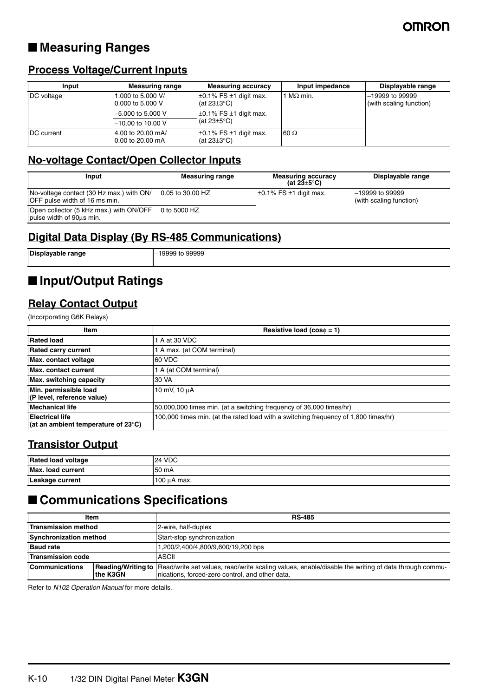# ■ **Measuring Ranges**

### **Process Voltage/Current Inputs**

| Input      | <b>Measuring range</b>                  | <b>Measuring accuracy</b>                            | Input impedance | Displayable range                            |
|------------|-----------------------------------------|------------------------------------------------------|-----------------|----------------------------------------------|
| DC voltage | 1.000 to 5.000 V/<br>10.000 to 5.000 V  | $\pm$ 0.1% FS $\pm$ 1 digit max.<br>(at $23\pm3$ °C) | $MΩ$ min.       | $-19999$ to 99999<br>(with scaling function) |
|            | $-5.000$ to 5.000 V                     | $\pm$ 0.1% FS $\pm$ 1 digit max.                     |                 |                                              |
|            | $-10.00$ to 10.00 V                     | (at $23\pm5^{\circ}$ C)                              |                 |                                              |
| DC current | 14.00 to 20.00 mA/<br>10.00 to 20.00 mA | $\pm$ 0.1% FS $\pm$ 1 digit max.<br>(at $23\pm3$ °C) | $60 \Omega$     |                                              |

### **No-voltage Contact/Open Collector Inputs**

| Input                                                                            | <b>Measuring range</b> | <b>Measuring accuracy</b><br>(at 23 $\pm$ 5°C) | Displayable range                            |
|----------------------------------------------------------------------------------|------------------------|------------------------------------------------|----------------------------------------------|
| No-voltage contact (30 Hz max.) with ON/<br><b>OFF</b> pulse width of 16 ms min. | 10.05 to 30.00 HZ      | $\pm 0.1\%$ FS $\pm 1$ digit max.              | $-19999$ to 99999<br>(with scaling function) |
| Open collector (5 kHz max.) with ON/OFF<br>pulse width of 90us min.              | 10 to 5000 HZ          |                                                |                                              |

## **Digital Data Display (By RS-485 Communications)**

| Displayable range | -19999 to 99999 |
|-------------------|-----------------|
|                   |                 |

# ■ **Input/Output Ratings**

### **Relay Contact Output**

(Incorporating G6K Relays)

| <b>Item</b>                                                             | Resistive load ( $cos\phi = 1$ )                                                    |
|-------------------------------------------------------------------------|-------------------------------------------------------------------------------------|
| <b>Rated load</b>                                                       | A at 30 VDC                                                                         |
| <b>Rated carry current</b>                                              | A max. (at COM terminal)                                                            |
| Max. contact voltage                                                    | 60 VDC                                                                              |
| <b>Max.</b> contact current                                             | A (at COM terminal)                                                                 |
| Max. switching capacity                                                 | 30 VA                                                                               |
| Min. permissible load<br>(P level, reference value)                     | 10 mV, 10 uA                                                                        |
| <b>Mechanical life</b>                                                  | 50,000,000 times min. (at a switching frequency of 36,000 times/hr)                 |
| <b>Electrical life</b><br>(at an ambient temperature of 23 $\degree$ C) | 100,000 times min. (at the rated load with a switching frequency of 1,800 times/hr) |

### **Transistor Output**

| Rated load voltage       | <b>VDC</b>       |
|--------------------------|------------------|
| <b>Max. load current</b> | 50 mA            |
| Leakage current          | $100 \mu A$ max. |

# ■ **Communications Specifications**

| Item                       |          | <b>RS-485</b>                                                                                                                                                               |
|----------------------------|----------|-----------------------------------------------------------------------------------------------------------------------------------------------------------------------------|
| <b>Transmission method</b> |          | 2-wire, half-duplex                                                                                                                                                         |
| Synchronization method     |          | Start-stop synchronization                                                                                                                                                  |
| <b>Baud rate</b>           |          | 1,200/2,400/4,800/9,600/19,200 bps                                                                                                                                          |
| <b>Transmission code</b>   |          | <b>ASCII</b>                                                                                                                                                                |
| <b>Communications</b>      | the K3GN | Reading/Writing to   Read/write set values, read/write scaling values, enable/disable the writing of data through commu-<br>nications, forced-zero control, and other data. |

Refer to *N102 Operation Manual* for more details.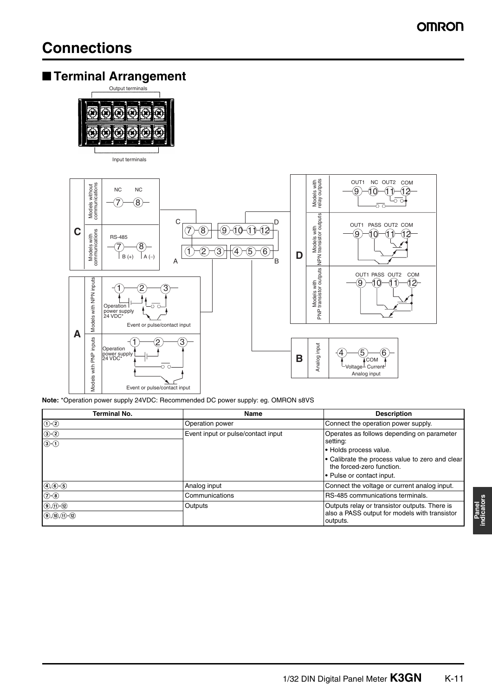# ■ **Terminal Arrangement**



Input terminals



**Note:** \*Operation power supply 24VDC: Recommended DC power supply: eg. OMRON s8VS

| Terminal No.                            | Name                               | <b>Description</b>                                                                                         |
|-----------------------------------------|------------------------------------|------------------------------------------------------------------------------------------------------------|
| $\odot$ - $\odot$                       | <b>Operation power</b>             | Connect the operation power supply.                                                                        |
| $\odot$ - $\odot$<br>$\odot$ - $\odot$  | Event input or pulse/contact input | Operates as follows depending on parameter<br>setting:                                                     |
|                                         |                                    | • Holds process value.<br>• Calibrate the process value to zero and clear<br>the forced-zero function.     |
|                                         |                                    | • Pulse or contact input.                                                                                  |
| $(4)$ , $(6)$ - $(5)$                   | Analog input                       | Connect the voltage or current analog input.                                                               |
| $(2-8)$                                 | Communications                     | RS-485 communications terminals.                                                                           |
| $(9, 0)$ $(12)$<br>$(9, 10, 11)$ $(12)$ | Outputs                            | Outputs relay or transistor outputs. There is<br>also a PASS output for models with transistor<br>outputs. |

**Panel indicators**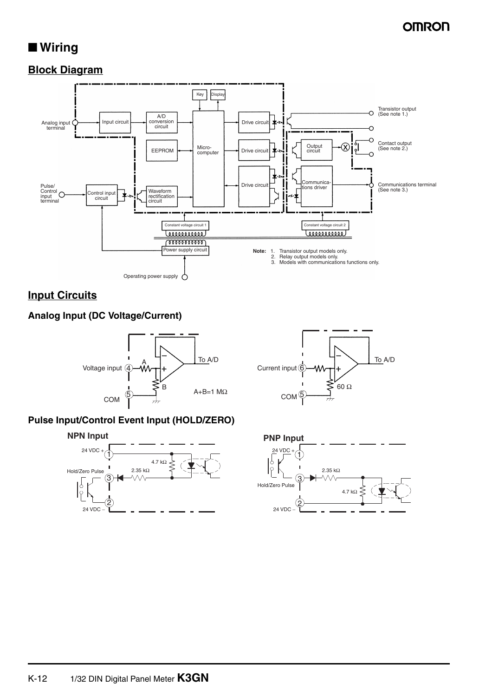# ■ Wiring

### **Block Diagram**



### **Input Circuits**

### **Analog Input (DC Voltage/Current)**



### **Pulse Input/Control Event Input (HOLD/ZERO)**







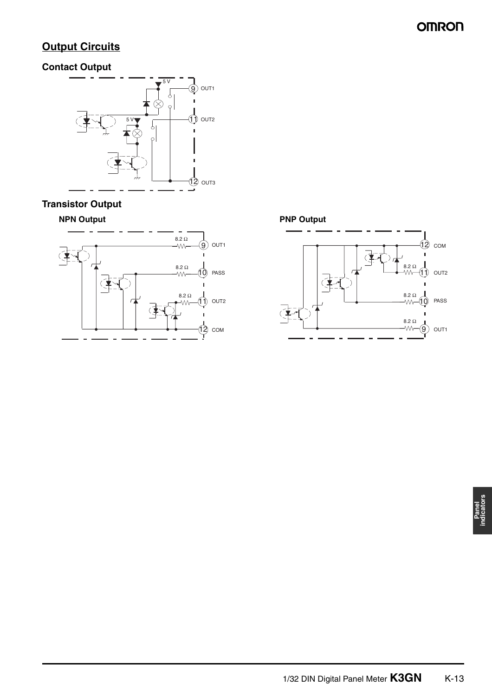# **Output Circuits**

### **Contact Output**



### **Transistor Output**

### **NPN Output**



**PNP Output**12 COM  $\overline{C}$  $8.2 \Omega$  $\mathfrak{f})$ OUT2  $\begin{array}{c} \n\begin{pmatrix} 1 \\ 1 \end{pmatrix} \n\end{array}$ 8.2 Ω<br>-WV  $\odot$ PASS  $\frac{8.2 \Omega}{20}$ 9 OUT1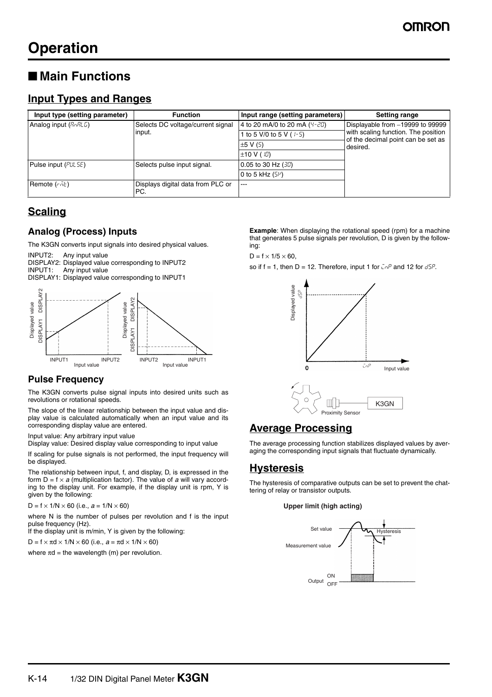# ■ Main Functions

### **Input Types and Ranges**

| Input type (setting parameter) | <b>Function</b>                             | Input range (setting parameters) | <b>Setting range</b>                           |
|--------------------------------|---------------------------------------------|----------------------------------|------------------------------------------------|
| Analog input $(R_0R_1L_0)$     | Selects DC voltage/current signal<br>input. | 4 to 20 mA/0 to 20 mA (4-20)     | Displayable from -19999 to 99999               |
|                                |                                             | 1 to 5 V/0 to 5 V ( $(-5)$ )     | with scaling function. The position            |
|                                |                                             | $\pm$ 5 V (5)                    | of the decimal point can be set as<br>desired. |
|                                |                                             | $\pm$ 10 V ( $\text{i}$ 0)       |                                                |
| Pulse input (PUL 5E)           | Selects pulse input signal.                 | $0.05$ to 30 Hz $(30)$           |                                                |
|                                |                                             | 0 to 5 kHz $(5\mu)$              |                                                |
| Remote $(r \bar{h} t)$         | Displays digital data from PLC or<br>PC.    | $---$                            |                                                |

### **Scaling**

### **Analog (Process) Inputs**

The K3GN converts input signals into desired physical values. INPUT2: Any input value

DISPLAY2: Displayed value corresponding to INPUT2<br>INPUT1: Any input value Any input value DISPLAY1: Displayed value corresponding to INPUT1



### **Pulse Frequency**

The K3GN converts pulse signal inputs into desired units such as revolutions or rotational speeds.

The slope of the linear relationship between the input value and display value is calculated automatically when an input value and its corresponding display value are entered.

Input value: Any arbitrary input value

Display value: Desired display value corresponding to input value

If scaling for pulse signals is not performed, the input frequency will be displayed.

The relationship between input, f, and display, D, is expressed in the form  $D = f \times a$  (multiplication factor). The value of a will vary according to the display unit. For example, if the display unit is rpm, Y is given by the following:

 $D = f \times 1/N \times 60$  (i.e.,  $a = 1/N \times 60$ )

where N is the number of pulses per revolution and f is the input pulse frequency (Hz).

If the display unit is m/min, Y is given by the following:

 $D = f \times \pi d \times 1/N \times 60$  (i.e.,  $a = \pi d \times 1/N \times 60$ )

where  $\pi d$  = the wavelength (m) per revolution.

**Example**: When displaying the rotational speed (rpm) for a machine that generates 5 pulse signals per revolution, D is given by the following:

 $D = f \times 1/5 \times 60$ ,

so if  $f = 1$ , then  $D = 12$ . Therefore, input 1 for  $\bar{C}n^p$  and 12 for  $d5^p$ .



## **Average Processing**

The average processing function stabilizes displayed values by averaging the corresponding input signals that fluctuate dynamically.

### **Hysteresis**

The hysteresis of comparative outputs can be set to prevent the chattering of relay or transistor outputs.

#### **Upper limit (high acting)**

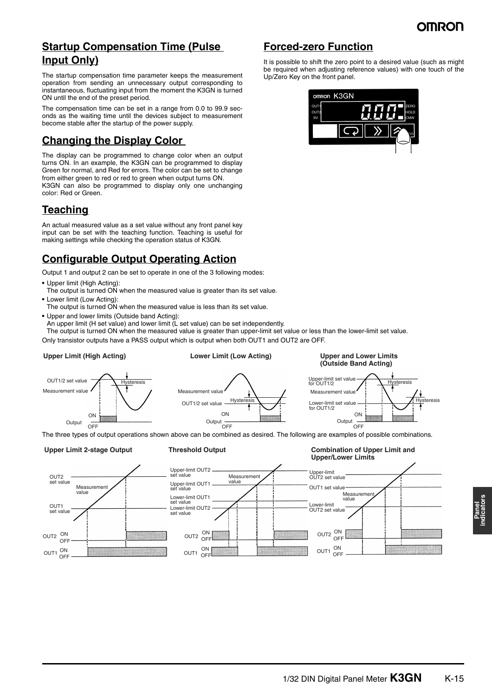### **Startup Compensation Time (Pulse Input Only)**

The startup compensation time parameter keeps the measurement operation from sending an unnecessary output corresponding to instantaneous, fluctuating input from the moment the K3GN is turned ON until the end of the preset period.

The compensation time can be set in a range from 0.0 to 99.9 seconds as the waiting time until the devices subject to measurement become stable after the startup of the power supply.

## **Changing the Display Color**

The display can be programmed to change color when an output turns ON. In an example, the K3GN can be programmed to display Green for normal, and Red for errors. The color can be set to change from either green to red or red to green when output turns ON. K3GN can also be programmed to display only one unchanging color: Red or Green.

## **Teaching**

An actual measured value as a set value without any front panel key input can be set with the teaching function. Teaching is useful for making settings while checking the operation status of K3GN.

## **Configurable Output Operating Action**

Hysteresis

Output 1 and output 2 can be set to operate in one of the 3 following modes:

- **•** Upper limit (High Acting):
- The output is turned ON when the measured value is greater than its set value.
- **•** Lower limit (Low Acting):
- The output is turned ON when the measured value is less than its set value.
- **•** Upper and lower limits (Outside band Acting): An upper limit (H set value) and lower limit (L set value) can be set independently.

The output is turned ON when the measured value is greater than upper-limit set value or less than the lower-limit set value.

Only transistor outputs have a PASS output which is output when both OUT1 and OUT2 are OFF.

### **Upper Limit (High Acting)**

OUT1/2 set value Measurement value

# **Lower Limit (Low Acting)**

#### **Upper and Lower Limits (Outside Band Acting)**



The three types of output operations shown above can be combined as desired. The following are examples of possible combinations. Output —<br>OFF

ON

#### **Upper Limit 2-stage Output Threshold Output**

**ON** Output  $\overline{O}$ 

OUT1/2 set value

Measurement value

**Combination of Upper Limit and Upper/Lower Limits**



It is possible to shift the zero point to a desired value (such as might be required when adjusting reference values) with one touch of the Up/Zero Key on the front panel.

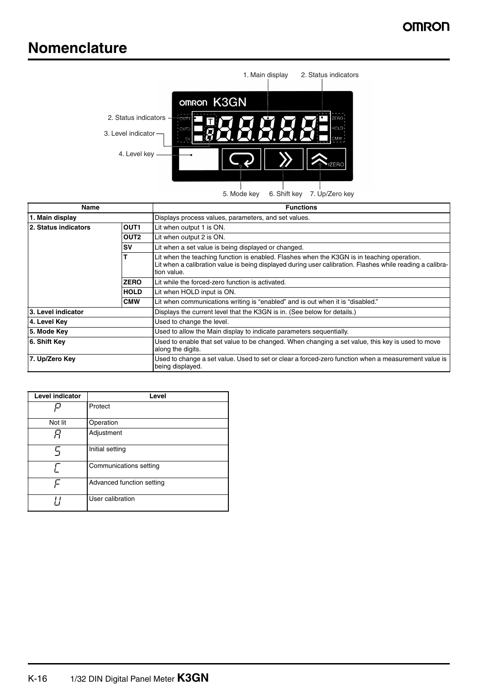# **Nomenclature**



5. Mode key 6. Shift key 7. Up/Zero key

| Name                 |                  | <b>Functions</b>                                                                                                                                                                                                       |
|----------------------|------------------|------------------------------------------------------------------------------------------------------------------------------------------------------------------------------------------------------------------------|
| 1. Main display      |                  | Displays process values, parameters, and set values.                                                                                                                                                                   |
| 2. Status indicators | OUT <sub>1</sub> | Lit when output 1 is ON.                                                                                                                                                                                               |
|                      | OUT <sub>2</sub> | Lit when output 2 is ON.                                                                                                                                                                                               |
|                      | <b>SV</b>        | Lit when a set value is being displayed or changed.                                                                                                                                                                    |
|                      |                  | Lit when the teaching function is enabled. Flashes when the K3GN is in teaching operation.<br>Lit when a calibration value is being displayed during user calibration. Flashes while reading a calibra-<br>tion value. |
|                      | <b>ZERO</b>      | Lit while the forced-zero function is activated.                                                                                                                                                                       |
|                      | <b>HOLD</b>      | Lit when HOLD input is ON.                                                                                                                                                                                             |
|                      | <b>CMW</b>       | Lit when communications writing is "enabled" and is out when it is "disabled."                                                                                                                                         |
| 3. Level indicator   |                  | Displays the current level that the K3GN is in. (See below for details.)                                                                                                                                               |
| 4. Level Key         |                  | Used to change the level.                                                                                                                                                                                              |
| 5. Mode Key          |                  | Used to allow the Main display to indicate parameters sequentially.                                                                                                                                                    |
| 6. Shift Key         |                  | Used to enable that set value to be changed. When changing a set value, this key is used to move<br>along the digits.                                                                                                  |
| 7. Up/Zero Key       |                  | Used to change a set value. Used to set or clear a forced-zero function when a measurement value is<br>being displayed.                                                                                                |

| <b>Level indicator</b> | Level                     |
|------------------------|---------------------------|
|                        | Protect                   |
| Not lit                | Operation                 |
|                        | Adjustment                |
| с                      | Initial setting           |
|                        | Communications setting    |
|                        | Advanced function setting |
|                        | User calibration          |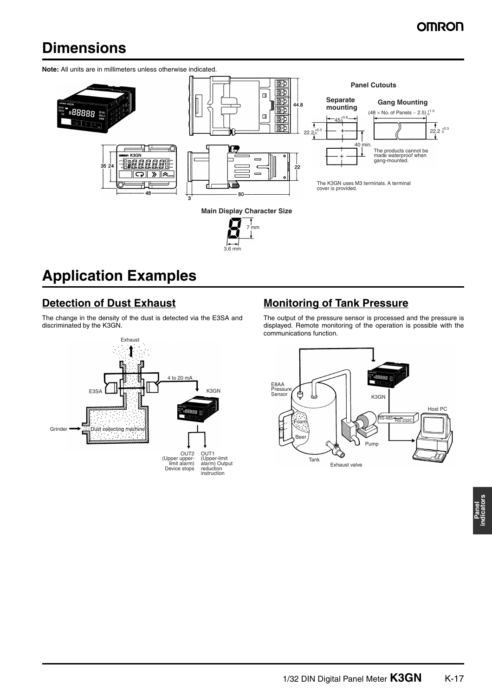# **Dimensions**

**Note:** All units are in millimeters unless otherwise indicated.



3.6 mm

# **Application Examples**

## **Detection of Dust Exhaust**

The change in the density of the dust is detected via the E3SA and discriminated by the K3GN.



# **Monitoring of Tank Pressure**

The output of the pressure sensor is processed and the pressure is displayed. Remote monitoring of the operation is possible with the communications function.

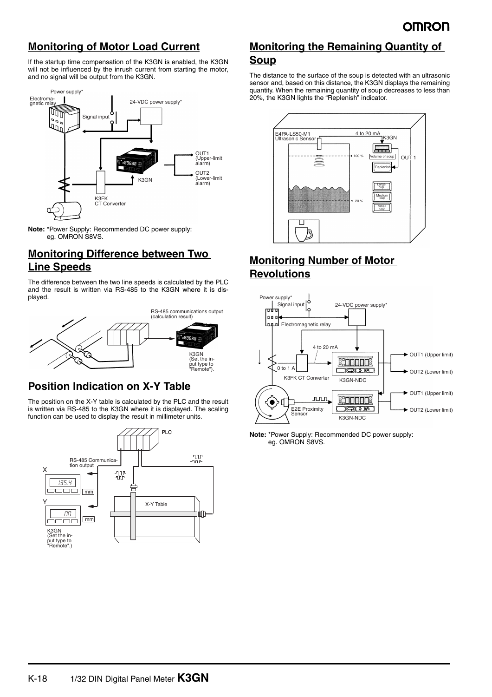## **Monitoring of Motor Load Current**

If the startup time compensation of the K3GN is enabled, the K3GN will not be influenced by the inrush current from starting the motor, and no signal will be output from the K3GN.



**Note:** \*Power Supply: Recommended DC power supply: eg. OMRON S8VS.

### **Monitoring Difference between Two Line Speeds**

The difference between the two line speeds is calculated by the PLC and the result is written via RS-485 to the K3GN where it is displayed.



### **Position Indication on X-Y Table**

The position on the X-Y table is calculated by the PLC and the result is written via RS-485 to the K3GN where it is displayed. The scaling function can be used to display the result in millimeter units.



## **Monitoring the Remaining Quantity of Soup**

The distance to the surface of the soup is detected with an ultrasonic sensor and, based on this distance, the K3GN displays the remaining quantity. When the remaining quantity of soup decreases to less than 20%, the K3GN lights the "Replenish" indicator.



### **Monitoring Number of Motor Revolutions**



**Note:** \*Power Supply: Recommended DC power supply: eg. OMRON S8VS.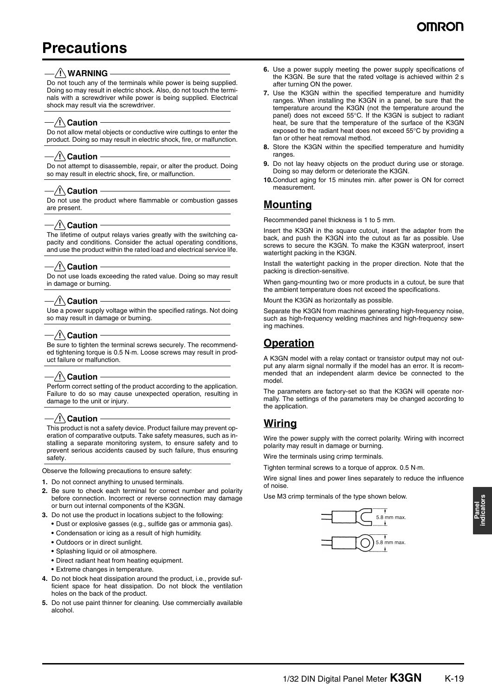# **Precautions**

### $/$ !\WARNING

Do not touch any of the terminals while power is being supplied. Doing so may result in electric shock. Also, do not touch the terminals with a screwdriver while power is being supplied. Electrical shock may result via the screwdriver.

### $-\bigwedge$  Caution

Do not allow metal objects or conductive wire cuttings to enter the product. Doing so may result in electric shock, fire, or malfunction.

#### $\sqrt{!}$  Caution

Do not attempt to disassemble, repair, or alter the product. Doing so may result in electric shock, fire, or malfunction.

#### $/$ ! $\setminus$  Caution

Do not use the product where flammable or combustion gasses are present.

### $\sqrt{!}$  Caution

The lifetime of output relays varies greatly with the switching capacity and conditions. Consider the actual operating conditions, and use the product within the rated load and electrical service life.

### $-\bigwedge$ Caution

Do not use loads exceeding the rated value. Doing so may result in damage or burning.

### $/$ ! $\setminus$  Caution

Use a power supply voltage within the specified ratings. Not doing so may result in damage or burning.

### $-$ /! $\setminus$ Caution

Be sure to tighten the terminal screws securely. The recommended tightening torque is 0.5 N·m. Loose screws may result in product failure or malfunction.

### $-\bigwedge$  Caution  $-$

Perform correct setting of the product according to the application. Failure to do so may cause unexpected operation, resulting in damage to the unit or injury.

### $-\left\langle \!\!{\,}^{\mathop{}\limits_{}}_{\mathop{}\limits^{}}\right. \!\! \right.$   $\left\langle \!\!{\,}^{\mathop{}\limits_{}}_{\mathop{}\limits^{}}\right. \!\!$   $\left\langle \!\!{\,}^{\mathop{}\limits_{}}_{\mathop{}\limits^{}}\right. \!\!$   $\left\langle \!\!{\,}^{\mathop{}\limits_{}}_{\mathop{}\limits^{}}\right. \!\!$

This product is not a safety device. Product failure may prevent operation of comparative outputs. Take safety measures, such as installing a separate monitoring system, to ensure safety and to prevent serious accidents caused by such failure, thus ensuring safety.

Observe the following precautions to ensure safety:

- **1.** Do not connect anything to unused terminals.
- **2.** Be sure to check each terminal for correct number and polarity before connection. Incorrect or reverse connection may damage or burn out internal components of the K3GN.
- **3.** Do not use the product in locations subject to the following:
	- **•** Dust or explosive gasses (e.g., sulfide gas or ammonia gas).
	- **•** Condensation or icing as a result of high humidity.
	- **•** Outdoors or in direct sunlight.
	- **•** Splashing liquid or oil atmosphere.
	- **•** Direct radiant heat from heating equipment.
	- **•** Extreme changes in temperature.
- **4.** Do not block heat dissipation around the product, i.e., provide sufficient space for heat dissipation. Do not block the ventilation holes on the back of the product.
- **5.** Do not use paint thinner for cleaning. Use commercially available alcohol.
- **6.** Use a power supply meeting the power supply specifications of the K3GN. Be sure that the rated voltage is achieved within 2 s after turning ON the power.
- **7.** Use the K3GN within the specified temperature and humidity ranges. When installing the K3GN in a panel, be sure that the temperature around the K3GN (not the temperature around the panel) does not exceed 55°C. If the K3GN is subject to radiant heat, be sure that the temperature of the surface of the K3GN exposed to the radiant heat does not exceed 55°C by providing a fan or other heat removal method.
- **8.** Store the K3GN within the specified temperature and humidity ranges.
- **9.** Do not lay heavy objects on the product during use or storage. Doing so may deform or deteriorate the K3GN.
- **10.**Conduct aging for 15 minutes min. after power is ON for correct measurement.

### **Mounting**

Recommended panel thickness is 1 to 5 mm.

Insert the K3GN in the square cutout, insert the adapter from the back, and push the K3GN into the cutout as far as possible. Use screws to secure the K3GN. To make the K3GN waterproof, insert watertight packing in the K3GN.

Install the watertight packing in the proper direction. Note that the packing is direction-sensitive.

When gang-mounting two or more products in a cutout, be sure that the ambient temperature does not exceed the specifications.

Mount the K3GN as horizontally as possible.

Separate the K3GN from machines generating high-frequency noise, such as high-frequency welding machines and high-frequency sewing machines.

### **Operation**

A K3GN model with a relay contact or transistor output may not output any alarm signal normally if the model has an error. It is recommended that an independent alarm device be connected to the model.

The parameters are factory-set so that the K3GN will operate normally. The settings of the parameters may be changed according to the application.

### **Wiring**

Wire the power supply with the correct polarity. Wiring with incorrect polarity may result in damage or burning.

Wire the terminals using crimp terminals.

Tighten terminal screws to a torque of approx. 0.5 N·m.

Wire signal lines and power lines separately to reduce the influence of noise.

Use M3 crimp terminals of the type shown below.

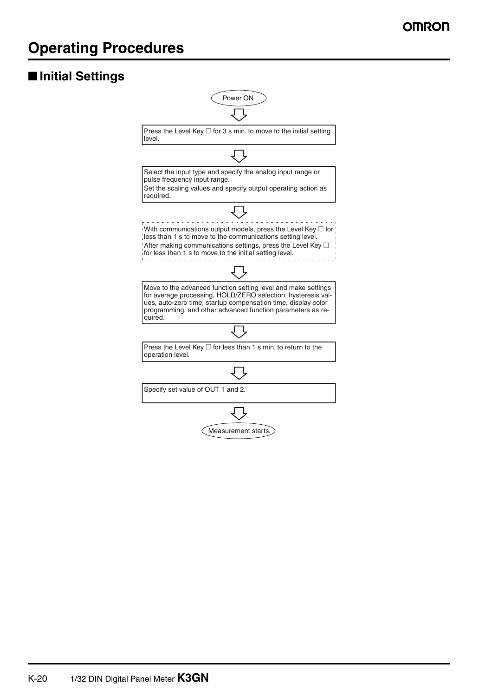# **Operating Procedures**

# ■ **Initial Settings**

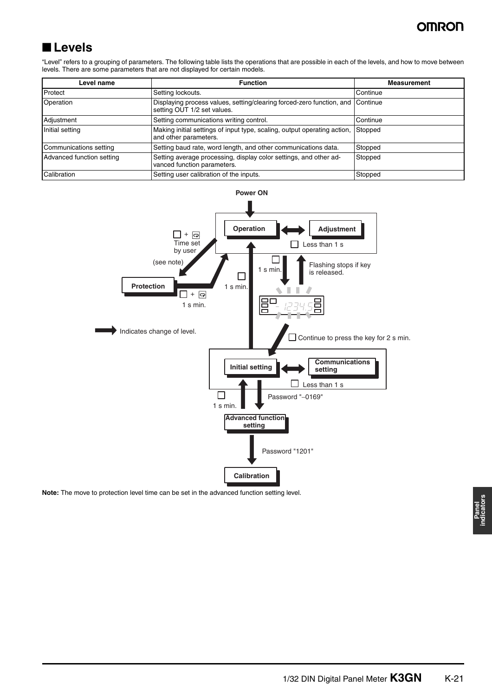# OMROD

# ■ **Levels**

"Level" refers to a grouping of parameters. The following table lists the operations that are possible in each of the levels, and how to move between levels. There are some parameters that are not displayed for certain models.

| Level name                | <b>Function</b>                                                                                               | <b>Measurement</b> |
|---------------------------|---------------------------------------------------------------------------------------------------------------|--------------------|
| Protect                   | Setting lockouts.                                                                                             | Continue           |
| Operation                 | Displaying process values, setting/clearing forced-zero function, and Continue<br>setting OUT 1/2 set values. |                    |
| Adjustment                | Setting communications writing control.                                                                       | Continue           |
| Initial setting           | Making initial settings of input type, scaling, output operating action,<br>and other parameters.             | Stopped            |
| Communications setting    | Setting baud rate, word length, and other communications data.                                                | Stopped            |
| Advanced function setting | Setting average processing, display color settings, and other ad-<br>vanced function parameters.              | Stopped            |
| Calibration               | Setting user calibration of the inputs.                                                                       | Stopped            |



**Note:** The move to protection level time can be set in the advanced function setting level.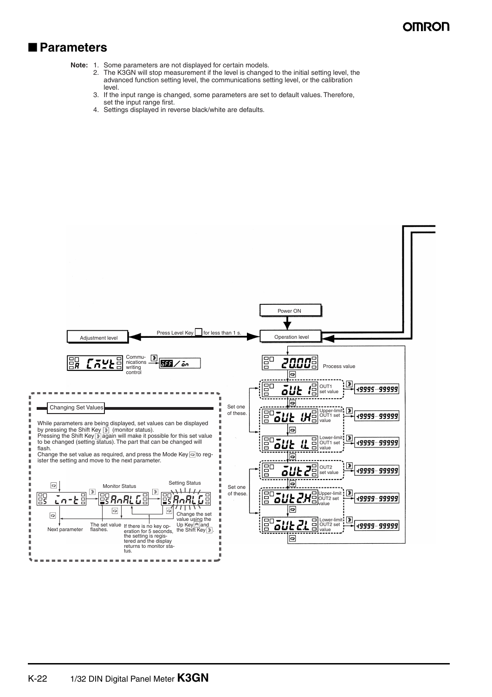### ■ **Parameters**

**Note:** 1. Some parameters are not displayed for certain models.

- 2. The K3GN will stop measurement if the level is changed to the initial setting level, the advanced function setting level, the communications setting level, or the calibration level.
- 3. If the input range is changed, some parameters are set to default values. Therefore, set the input range first.
- 4. Settings displayed in reverse black/white are defaults.

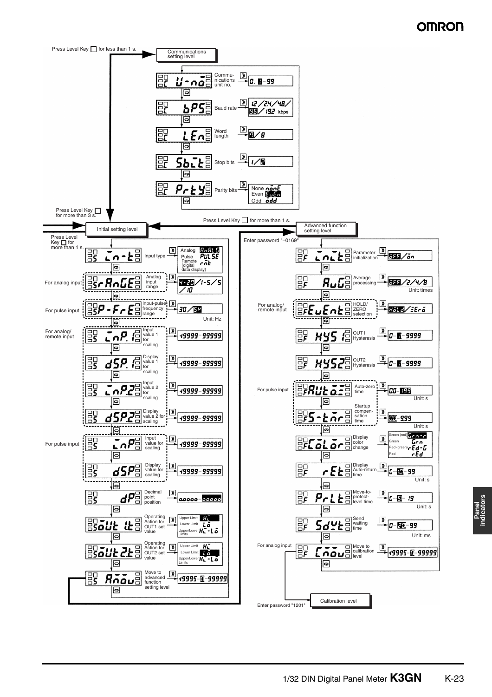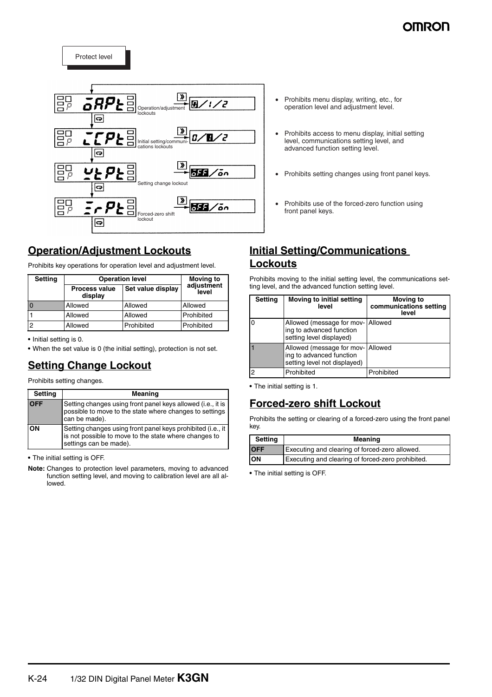# **AMD0**

ep<br>BP  $\overline{\mathsf{B}}$ ™ āRP ج′ Operation/adjustment sorane<br>Nouts ဓြ  $\overline{\mathsf{gp}}$ ح ⁄  $\overline{a}$ Initial setting/communi-cations lockouts ခြ  $\overline{\mathbf{v}}$ ep<br>BP 355 ⁄ōn Setting change lockout  $\overline{\mathbf{G}}$ er<br>Br D | » 555/ön Forced-zero shi lockout  $\overline{\mathbf{G}}$ 

## **Operation/Adjustment Lockouts**

Protect level

Prohibits key operations for operation level and adjustment level.

| <b>Setting</b> | <b>Operation level</b>          | <b>Moving to</b>  |                     |
|----------------|---------------------------------|-------------------|---------------------|
|                | <b>Process value</b><br>display | Set value display | adjustment<br>level |
|                | Allowed                         | Allowed           | Allowed             |
|                | Allowed                         | Allowed           | Prohibited          |
| 2              | Allowed                         | Prohibited        | Prohibited          |

**•** Initial setting is 0.

**•** When the set value is 0 (the initial setting), protection is not set.

# **Setting Change Lockout**

Prohibits setting changes.

| <b>Setting</b> | Meaning                                                                                                                                        |
|----------------|------------------------------------------------------------------------------------------------------------------------------------------------|
| <b>OFF</b>     | Setting changes using front panel keys allowed (i.e., it is<br>possible to move to the state where changes to settings<br>can be made).        |
| lon            | Setting changes using front panel keys prohibited (i.e., it<br>is not possible to move to the state where changes to<br>settings can be made). |

**•** The initial setting is OFF.

**Note:** Changes to protection level parameters, moving to advanced function setting level, and moving to calibration level are all allowed.

- Prohibits menu display, writing, etc., for operation level and adjustment level.
- Prohibits access to menu display, initial setting level, communications setting level, and advanced function setting level.
- Prohibits setting changes using front panel keys.
- Prohibits use of the forced-zero function using front panel keys.

### **Initial Setting/Communications Lockouts**

Prohibits moving to the initial setting level, the communications setting level, and the advanced function setting level.

| <b>Setting</b> | Moving to initial setting<br>level                                                    | <b>Moving to</b><br>communications setting<br>level |
|----------------|---------------------------------------------------------------------------------------|-----------------------------------------------------|
| I٥             | Allowed (message for mov-<br>ing to advanced function<br>setting level displayed)     | Allowed                                             |
|                | Allowed (message for mov-<br>ing to advanced function<br>setting level not displayed) | Allowed                                             |
| $\overline{2}$ | Prohibited                                                                            | Prohibited                                          |

**•** The initial setting is 1.

### **Forced-zero shift Lockout**

Prohibits the setting or clearing of a forced-zero using the front panel key.

| <b>Setting</b> | Meaning                                           |  |
|----------------|---------------------------------------------------|--|
| <b>OFF</b>     | Executing and clearing of forced-zero allowed.    |  |
| ON             | Executing and clearing of forced-zero prohibited. |  |

**•** The initial setting is OFF.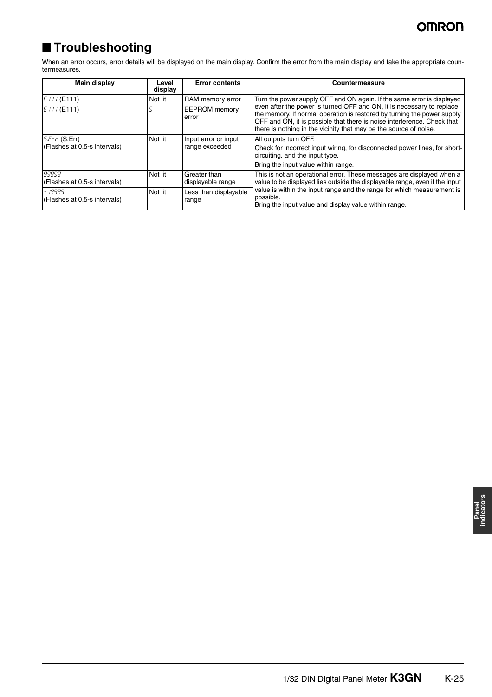# ■ **Troubleshooting**

When an error occurs, error details will be displayed on the main display. Confirm the error from the main display and take the appropriate countermeasures.

| Main display                                        | Level<br>display | <b>Error contents</b>                  | Countermeasure                                                                                                                                                                                                                                                                                                                                                             |
|-----------------------------------------------------|------------------|----------------------------------------|----------------------------------------------------------------------------------------------------------------------------------------------------------------------------------------------------------------------------------------------------------------------------------------------------------------------------------------------------------------------------|
| $E111$ (E111)                                       | Not lit          | RAM memory error                       | Turn the power supply OFF and ON again. If the same error is displayed<br>even after the power is turned OFF and ON, it is necessary to replace<br>the memory. If normal operation is restored by turning the power supply<br>OFF and ON, it is possible that there is noise interference. Check that<br>there is nothing in the vicinity that may be the source of noise. |
| EIII(E111)                                          |                  | <b>EEPROM</b> memory<br>error          |                                                                                                                                                                                                                                                                                                                                                                            |
| $5.5r \in (S. Err)$<br>(Flashes at 0.5-s intervals) | Not lit          | Input error or input<br>range exceeded | All outputs turn OFF.<br>Check for incorrect input wiring, for disconnected power lines, for short-<br>circuiting, and the input type.<br>Bring the input value within range.                                                                                                                                                                                              |
| 99999<br>(Flashes at 0.5-s intervals)               | Not lit          | Greater than<br>displayable range      | This is not an operational error. These messages are displayed when a<br>value to be displayed lies outside the displayable range, even if the input<br>value is within the input range and the range for which measurement is<br>possible.<br>Bring the input value and display value within range.                                                                       |
| - 19999<br>(Flashes at 0.5-s intervals)             | Not lit          | Less than displayable<br>range         |                                                                                                                                                                                                                                                                                                                                                                            |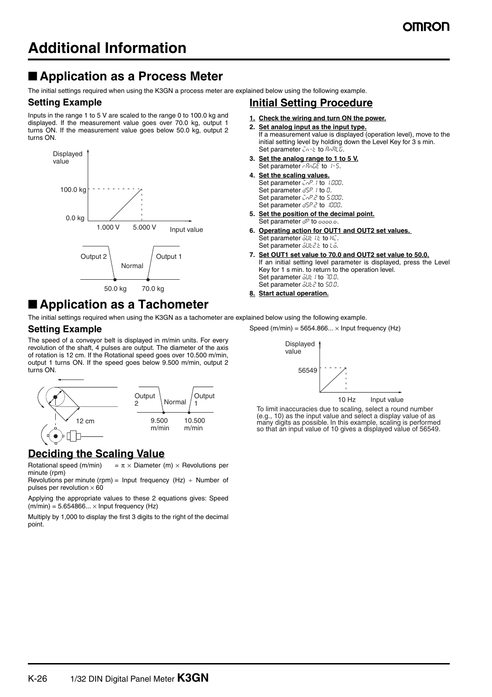# ■ **Application as a Process Meter**

The initial settings required when using the K3GN a process meter are explained below using the following example.

### **Setting Example**

Inputs in the range 1 to 5 V are scaled to the range 0 to 100.0 kg and displayed. If the measurement value goes over 70.0 kg, output 1 turns ON. If the measurement value goes below 50.0 kg, output 2 turns ON.



# ■ **Application as a Tachometer**

The initial settings required when using the K3GN as a tachometer are explained below using the following example.

### **Setting Example**

The speed of a conveyor belt is displayed in m/min units. For every revolution of the shaft, 4 pulses are output. The diameter of the axis of rotation is 12 cm. If the Rotational speed goes over 10.500 m/min, output 1 turns ON. If the speed goes below 9.500 m/min, output 2 turns ON.



## **Deciding the Scaling Value**

Rotational speed (m/min) =  $\pi \times$  Diameter (m)  $\times$  Revolutions per minute (rpm)

Revolutions per minute (rpm) = Input frequency (Hz)  $\div$  Number of pulses per revolution  $\times$  60

Applying the appropriate values to these 2 equations gives: Speed  $(m/min) = 5.654866... \times Input frequency (Hz)$ 

Multiply by 1,000 to display the first 3 digits to the right of the decimal point.

### **Initial Setting Procedure**

- **1. Check the wiring and turn ON the power.**
- **2. Set analog input as the input type.** If a measurement value is displayed (operation level), move to the initial setting level by holding down the Level Key for 3 s min. Set parameter  $\bar{L}_1 - \bar{L}$  to  $R_1 R_2 L_3$ .
- **3. Set the analog range to 1 to 5 V.** Set parameter  $r$ -RnLE to  $1-5$ .
- **4. Set the scaling values.** Set parameter  $\bar{L}nP$ . I to 1.000. Set parameter  $d5P$ . *I* to  $D$ . Set parameter  $L_{0}P_{0}P_{0}$  to 5.000. Set parameter d5P.2 to 1000.
- **5. Set the position of the decimal point.** Set parameter  $d^p$  to  $0$
- **6. Operating action for OUT1 and OUT2 set values.**  Set parameter  $\overline{\delta}Ut$  i.t to  $H_t$ . Set parameter  $\overline{\delta}$ UE 2.E to L $\overline{\delta}$ .
- **7. Set OUT1 set value to 70.0 and OUT2 set value to 50.0.** If an initial setting level parameter is displayed, press the Level Key for 1 s min. to return to the operation level. Set parameter  $\overline{\delta}L$  to 70.0. Set parameter  $\overline{\omega}$ ut 2 to 50.0.
- **8. Start actual operation.**

Speed (m/min) =  $5654.866... \times$  Input frequency (Hz)



To limit inaccuracies due to scaling, select a round number (e.g., 10) as the input value and select a display value of as many digits as possible. In this example, scaling is performed so that an input value of 10 gives a displayed value of 56549.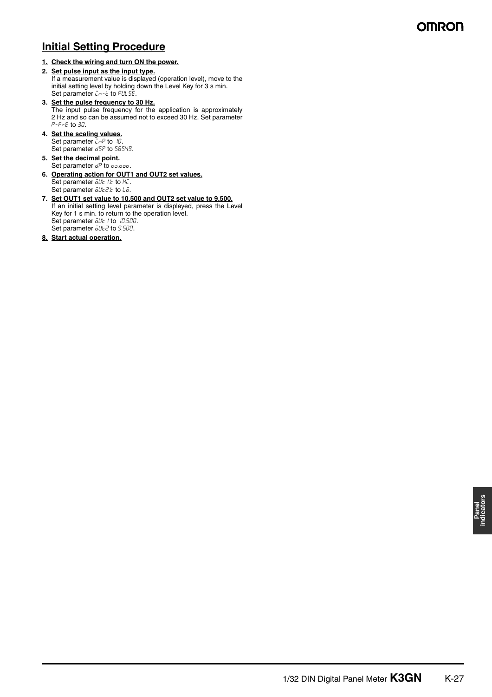## **Initial Setting Procedure**

**1. Check the wiring and turn ON the power.**

#### **2. Set pulse input as the input type.**

If a measurement value is displayed (operation level), move to the initial setting level by holding down the Level Key for 3 s min. Set parameter  $\bar{L}_1 - \bar{L}$  to PULSE.

- **3. Set the pulse frequency to 30 Hz.** The input pulse frequency for the application is approximately 2 Hz and so can be assumed not to exceed 30 Hz. Set parameter  $P-FrE$  to  $30$ .
- **4. Set the scaling values.** Set parameter  $\overline{L}nP$  to  $1D$ . Set parameter d5P to 56549.
- **5. Set the decimal point.** Set parameter  $d^p$  to  $\overline{\omega}$ .
- **6. Operating action for OUT1 and OUT2 set values.** Set parameter out it to HC. Set parameter  $\bar{o}$ UŁ2.t to Lo.
- **7. Set OUT1 set value to 10.500 and OUT2 set value to 9.500.** If an initial setting level parameter is displayed, press the Level Key for 1 s min. to return to the operation level. Set parameter  $\overline{\delta}Ut$  to 10.500. Set parameter all L2 to 9.500.
- **8. Start actual operation.**